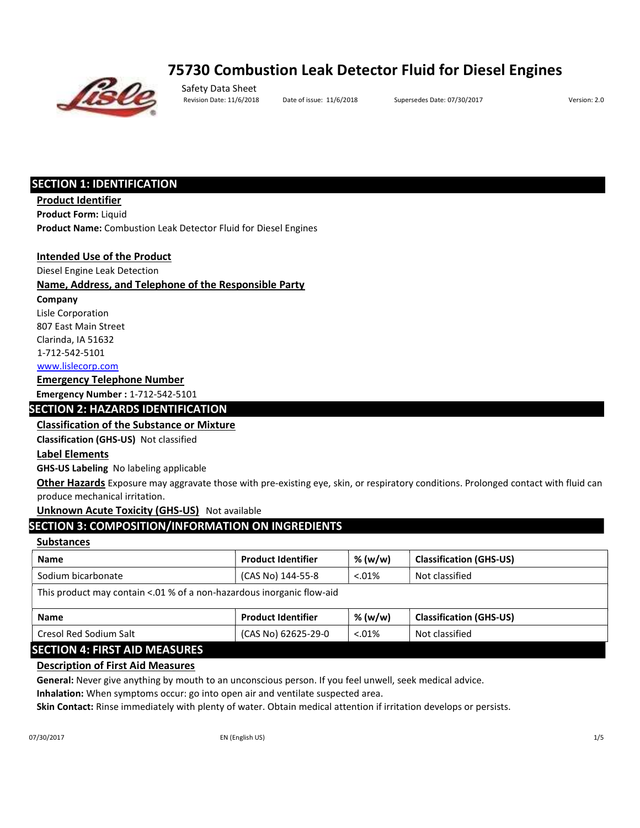# 75730 Combustion Leak Detector Fluid for Diesel Engines



Safety Data Sheet

Revision Date: 11/6/2018 Date of issue: 11/6/2018 Supersedes Date: 07/30/2017 Version: 2.0

# SECTION 1: IDENTIFICATION

Product Identifier

Product Form: Liquid

Product Name: Combustion Leak Detector Fluid for Diesel Engines

#### Intended Use of the Product

Diesel Engine Leak Detection

#### Name, Address, and Telephone of the Responsible Party

Company

Lisle Corporation

807 East Main Street

Clarinda, IA 51632

1‐712‐542‐5101

www.lislecorp.com

## Emergency Telephone Number

Emergency Number : 1‐712‐542‐5101

#### SECTION 2: HAZARDS IDENTIFICATION

#### Classification of the Substance or Mixture

Classification (GHS‐US) Not classified

#### Label Elements

GHS‐US Labeling No labeling applicable

Other Hazards Exposure may aggravate those with pre-existing eye, skin, or respiratory conditions. Prolonged contact with fluid can produce mechanical irritation.

#### Unknown Acute Toxicity (GHS-US) Not available

# SECTION 3: COMPOSITION/INFORMATION ON INGREDIENTS

## **Substances**

| <b>Name</b>                                                                                                                                                                                                                                                                                                                                                                          | <b>Product Identifier</b> | % (w/w)  | <b>Classification (GHS-US)</b> |  |
|--------------------------------------------------------------------------------------------------------------------------------------------------------------------------------------------------------------------------------------------------------------------------------------------------------------------------------------------------------------------------------------|---------------------------|----------|--------------------------------|--|
| Sodium bicarbonate                                                                                                                                                                                                                                                                                                                                                                   | (CAS No) 144-55-8         | $0.01\%$ | Not classified                 |  |
| This product may contain <.01 % of a non-hazardous inorganic flow-aid                                                                                                                                                                                                                                                                                                                |                           |          |                                |  |
| <b>Name</b>                                                                                                                                                                                                                                                                                                                                                                          | <b>Product Identifier</b> | % (w/w)  | <b>Classification (GHS-US)</b> |  |
| Cresol Red Sodium Salt                                                                                                                                                                                                                                                                                                                                                               | (CAS No) 62625-29-0       | $0.01\%$ | Not classified                 |  |
| $\overline{C}$ $\overline{C}$ $\overline{C}$ $\overline{C}$ $\overline{C}$ $\overline{C}$ $\overline{C}$ $\overline{C}$ $\overline{C}$ $\overline{C}$ $\overline{C}$ $\overline{C}$ $\overline{C}$ $\overline{C}$ $\overline{C}$ $\overline{C}$ $\overline{C}$ $\overline{C}$ $\overline{C}$ $\overline{C}$ $\overline{C}$ $\overline{C}$ $\overline{C}$ $\overline{C}$ $\overline{$ |                           |          |                                |  |

# SECTION 4: FIRST AID MEASURES

#### Description of First Aid Measures

General: Never give anything by mouth to an unconscious person. If you feel unwell, seek medical advice.

Inhalation: When symptoms occur: go into open air and ventilate suspected area.

Skin Contact: Rinse immediately with plenty of water. Obtain medical attention if irritation develops or persists.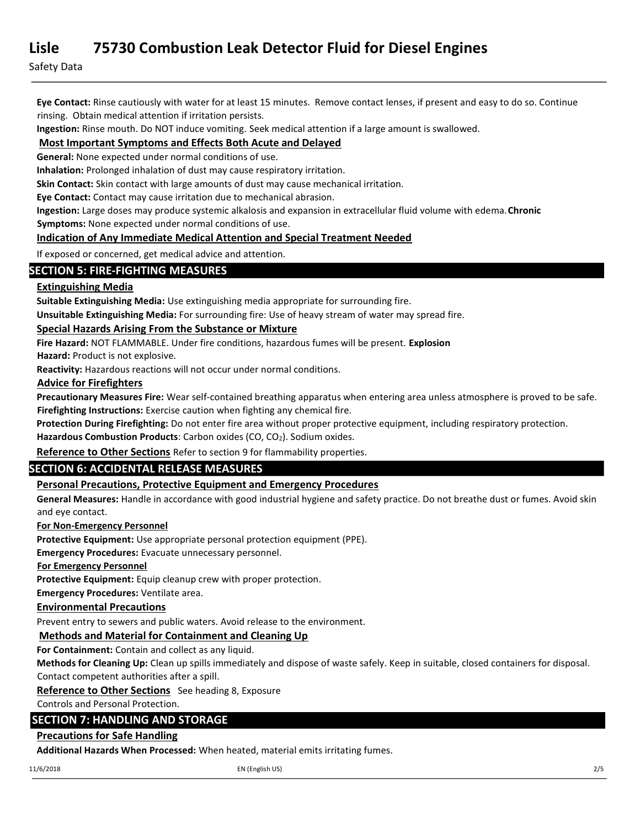Safety Data

Eye Contact: Rinse cautiously with water for at least 15 minutes. Remove contact lenses, if present and easy to do so. Continue rinsing. Obtain medical attention if irritation persists.

Ingestion: Rinse mouth. Do NOT induce vomiting. Seek medical attention if a large amount is swallowed.

# Most Important Symptoms and Effects Both Acute and Delayed

General: None expected under normal conditions of use.

Inhalation: Prolonged inhalation of dust may cause respiratory irritation.

Skin Contact: Skin contact with large amounts of dust may cause mechanical irritation.

Eye Contact: Contact may cause irritation due to mechanical abrasion.

Ingestion: Large doses may produce systemic alkalosis and expansion in extracellular fluid volume with edema. Chronic Symptoms: None expected under normal conditions of use.

# Indication of Any Immediate Medical Attention and Special Treatment Needed

If exposed or concerned, get medical advice and attention.

# SECTION 5: FIRE‐FIGHTING MEASURES

# Extinguishing Media

Suitable Extinguishing Media: Use extinguishing media appropriate for surrounding fire.

Unsuitable Extinguishing Media: For surrounding fire: Use of heavy stream of water may spread fire.

#### Special Hazards Arising From the Substance or Mixture

Fire Hazard: NOT FLAMMABLE. Under fire conditions, hazardous fumes will be present. Explosion

Hazard: Product is not explosive.

Reactivity: Hazardous reactions will not occur under normal conditions.

#### Advice for Firefighters

Precautionary Measures Fire: Wear self-contained breathing apparatus when entering area unless atmosphere is proved to be safe. Firefighting Instructions: Exercise caution when fighting any chemical fire.

Protection During Firefighting: Do not enter fire area without proper protective equipment, including respiratory protection.

Hazardous Combustion Products: Carbon oxides (CO, CO<sub>2</sub>). Sodium oxides.

Reference to Other Sections Refer to section 9 for flammability properties.

# SECTION 6: ACCIDENTAL RELEASE MEASURES

# Personal Precautions, Protective Equipment and Emergency Procedures

General Measures: Handle in accordance with good industrial hygiene and safety practice. Do not breathe dust or fumes. Avoid skin and eye contact.

#### For Non‐Emergency Personnel

Protective Equipment: Use appropriate personal protection equipment (PPE).

Emergency Procedures: Evacuate unnecessary personnel.

#### For Emergency Personnel

Protective Equipment: Equip cleanup crew with proper protection.

Emergency Procedures: Ventilate area.

# Environmental Precautions

Prevent entry to sewers and public waters. Avoid release to the environment.

# Methods and Material for Containment and Cleaning Up

For Containment: Contain and collect as any liquid.

Methods for Cleaning Up: Clean up spills immediately and dispose of waste safely. Keep in suitable, closed containers for disposal. Contact competent authorities after a spill.

Reference to Other Sections See heading 8, Exposure

Controls and Personal Protection.

# SECTION 7: HANDLING AND STORAGE

# Precautions for Safe Handling

Additional Hazards When Processed: When heated, material emits irritating fumes.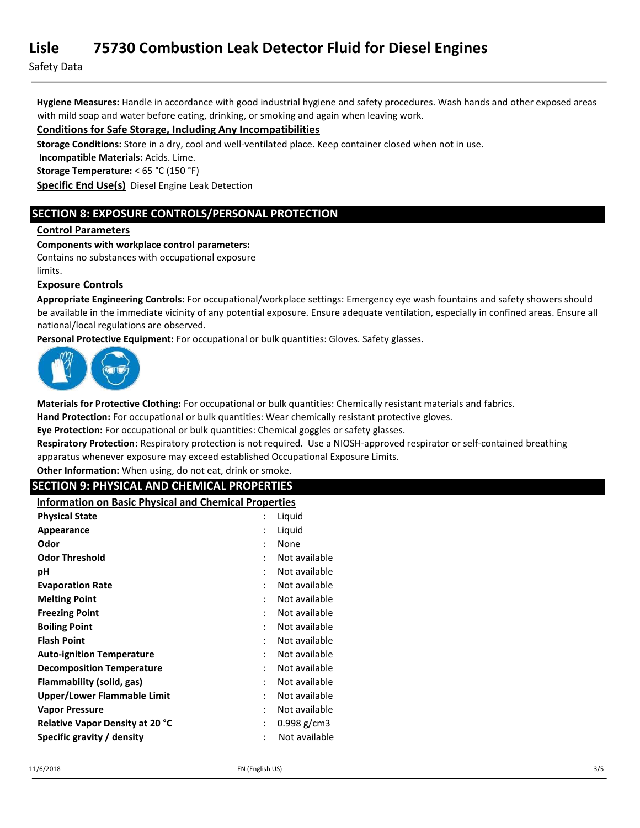Safety Data

Hygiene Measures: Handle in accordance with good industrial hygiene and safety procedures. Wash hands and other exposed areas with mild soap and water before eating, drinking, or smoking and again when leaving work.

## Conditions for Safe Storage, Including Any Incompatibilities

Storage Conditions: Store in a dry, cool and well-ventilated place. Keep container closed when not in use.

Incompatible Materials: Acids. Lime.

Storage Temperature: < 65 °C (150 °F)

Specific End Use(s) Diesel Engine Leak Detection

# SECTION 8: EXPOSURE CONTROLS/PERSONAL PROTECTION

#### Control Parameters

#### Components with workplace control parameters:

Contains no substances with occupational exposure

limits.

#### Exposure Controls

Appropriate Engineering Controls: For occupational/workplace settings: Emergency eye wash fountains and safety showers should be available in the immediate vicinity of any potential exposure. Ensure adequate ventilation, especially in confined areas. Ensure all national/local regulations are observed.

Personal Protective Equipment: For occupational or bulk quantities: Gloves. Safety glasses.



Materials for Protective Clothing: For occupational or bulk quantities: Chemically resistant materials and fabrics.

Hand Protection: For occupational or bulk quantities: Wear chemically resistant protective gloves.

Eye Protection: For occupational or bulk quantities: Chemical goggles or safety glasses.

Respiratory Protection: Respiratory protection is not required. Use a NIOSH-approved respirator or self-contained breathing apparatus whenever exposure may exceed established Occupational Exposure Limits.

Other Information: When using, do not eat, drink or smoke.

## SECTION 9: PHYSICAL AND CHEMICAL PROPERTIES

Information on Basic Physical and Chemical Properties

| <b>Physical State</b>                  |   | Liquid        |
|----------------------------------------|---|---------------|
| Appearance                             |   | Liquid        |
| Odor                                   |   | None          |
| <b>Odor Threshold</b>                  | ٠ | Not available |
| рH                                     |   | Not available |
| <b>Evaporation Rate</b>                |   | Not available |
| <b>Melting Point</b>                   |   | Not available |
| <b>Freezing Point</b>                  |   | Not available |
| <b>Boiling Point</b>                   |   | Not available |
| <b>Flash Point</b>                     | ٠ | Not available |
| <b>Auto-ignition Temperature</b>       |   | Not available |
| <b>Decomposition Temperature</b>       | ٠ | Not available |
| Flammability (solid, gas)              |   | Not available |
| Upper/Lower Flammable Limit            |   | Not available |
| <b>Vapor Pressure</b>                  | ٠ | Not available |
| <b>Relative Vapor Density at 20 °C</b> | : | $0.998$ g/cm3 |
| Specific gravity / density             |   | Not available |
|                                        |   |               |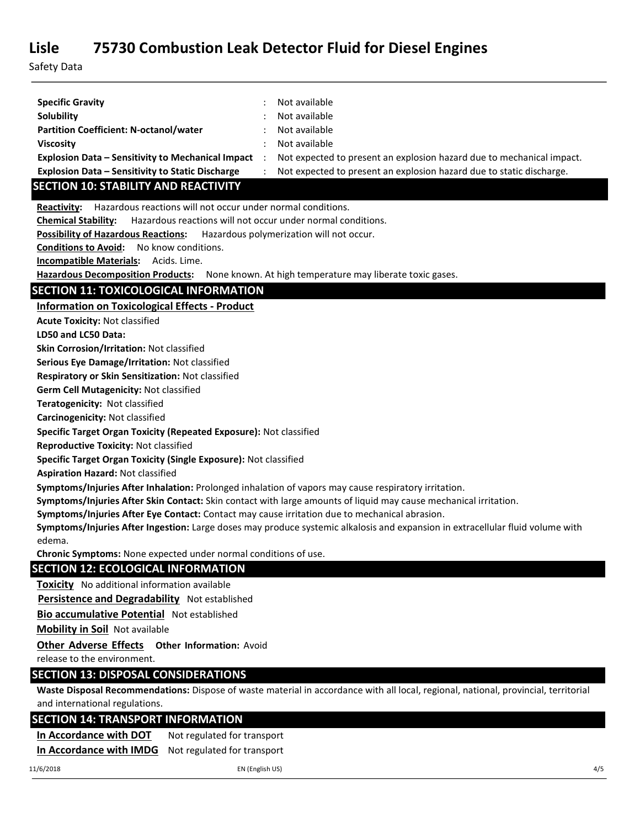Safety Data

| <b>Specific Gravity</b><br><b>Solubility</b>                                                         | Not available<br>Not available                                                                                                      |
|------------------------------------------------------------------------------------------------------|-------------------------------------------------------------------------------------------------------------------------------------|
| <b>Partition Coefficient: N-octanol/water</b>                                                        | Not available                                                                                                                       |
| <b>Viscosity</b>                                                                                     | Not available                                                                                                                       |
| <b>Explosion Data - Sensitivity to Mechanical Impact</b>                                             | Not expected to present an explosion hazard due to mechanical impact.<br>$\ddot{\cdot}$                                             |
| Explosion Data - Sensitivity to Static Discharge                                                     | Not expected to present an explosion hazard due to static discharge.                                                                |
| <b>SECTION 10: STABILITY AND REACTIVITY</b>                                                          |                                                                                                                                     |
| Hazardous reactions will not occur under normal conditions.<br>Reactivity:                           |                                                                                                                                     |
| <b>Chemical Stability:</b>                                                                           | Hazardous reactions will not occur under normal conditions.                                                                         |
| <b>Possibility of Hazardous Reactions:</b>                                                           | Hazardous polymerization will not occur.                                                                                            |
| <b>Conditions to Avoid:</b><br>No know conditions.                                                   |                                                                                                                                     |
| Incompatible Materials: Acids. Lime.                                                                 |                                                                                                                                     |
| Hazardous Decomposition Products: None known. At high temperature may liberate toxic gases.          |                                                                                                                                     |
| <b>SECTION 11: TOXICOLOGICAL INFORMATION</b>                                                         |                                                                                                                                     |
| <b>Information on Toxicological Effects - Product</b>                                                |                                                                                                                                     |
| <b>Acute Toxicity: Not classified</b>                                                                |                                                                                                                                     |
| LD50 and LC50 Data:                                                                                  |                                                                                                                                     |
| Skin Corrosion/Irritation: Not classified                                                            |                                                                                                                                     |
| Serious Eye Damage/Irritation: Not classified                                                        |                                                                                                                                     |
| Respiratory or Skin Sensitization: Not classified                                                    |                                                                                                                                     |
| Germ Cell Mutagenicity: Not classified                                                               |                                                                                                                                     |
| Teratogenicity: Not classified                                                                       |                                                                                                                                     |
| Carcinogenicity: Not classified                                                                      |                                                                                                                                     |
| Specific Target Organ Toxicity (Repeated Exposure): Not classified                                   |                                                                                                                                     |
| <b>Reproductive Toxicity: Not classified</b>                                                         |                                                                                                                                     |
| Specific Target Organ Toxicity (Single Exposure): Not classified                                     |                                                                                                                                     |
| <b>Aspiration Hazard: Not classified</b>                                                             |                                                                                                                                     |
| Symptoms/Injuries After Inhalation: Prolonged inhalation of vapors may cause respiratory irritation. |                                                                                                                                     |
|                                                                                                      | Symptoms/Injuries After Skin Contact: Skin contact with large amounts of liquid may cause mechanical irritation.                    |
| Symptoms/Injuries After Eye Contact: Contact may cause irritation due to mechanical abrasion.        |                                                                                                                                     |
|                                                                                                      | Symptoms/Injuries After Ingestion: Large doses may produce systemic alkalosis and expansion in extracellular fluid volume with      |
| edema.<br>Chronic Symptoms: None expected under normal conditions of use.                            |                                                                                                                                     |
|                                                                                                      |                                                                                                                                     |
| <b>SECTION 12: ECOLOGICAL INFORMATION</b>                                                            |                                                                                                                                     |
| Toxicity No additional information available                                                         |                                                                                                                                     |
| Persistence and Degradability Not established                                                        |                                                                                                                                     |
| <b>Bio accumulative Potential Not established</b>                                                    |                                                                                                                                     |
| <b>Mobility in Soil Not available</b>                                                                |                                                                                                                                     |
| Other Adverse Effects Other Information: Avoid                                                       |                                                                                                                                     |
| release to the environment.                                                                          |                                                                                                                                     |
| <b>SECTION 13: DISPOSAL CONSIDERATIONS</b>                                                           |                                                                                                                                     |
|                                                                                                      | Waste Disposal Recommendations: Dispose of waste material in accordance with all local, regional, national, provincial, territorial |
| and international regulations.                                                                       |                                                                                                                                     |
| <b>SECTION 14: TRANSPORT INFORMATION</b>                                                             |                                                                                                                                     |
| In Accordance with DOT<br>Not regulated for transport                                                |                                                                                                                                     |
| In Accordance with IMDG<br>Not regulated for transport                                               |                                                                                                                                     |
| 11/6/2018                                                                                            | EN (English US)<br>4/5                                                                                                              |
|                                                                                                      |                                                                                                                                     |
|                                                                                                      |                                                                                                                                     |
|                                                                                                      |                                                                                                                                     |
|                                                                                                      |                                                                                                                                     |